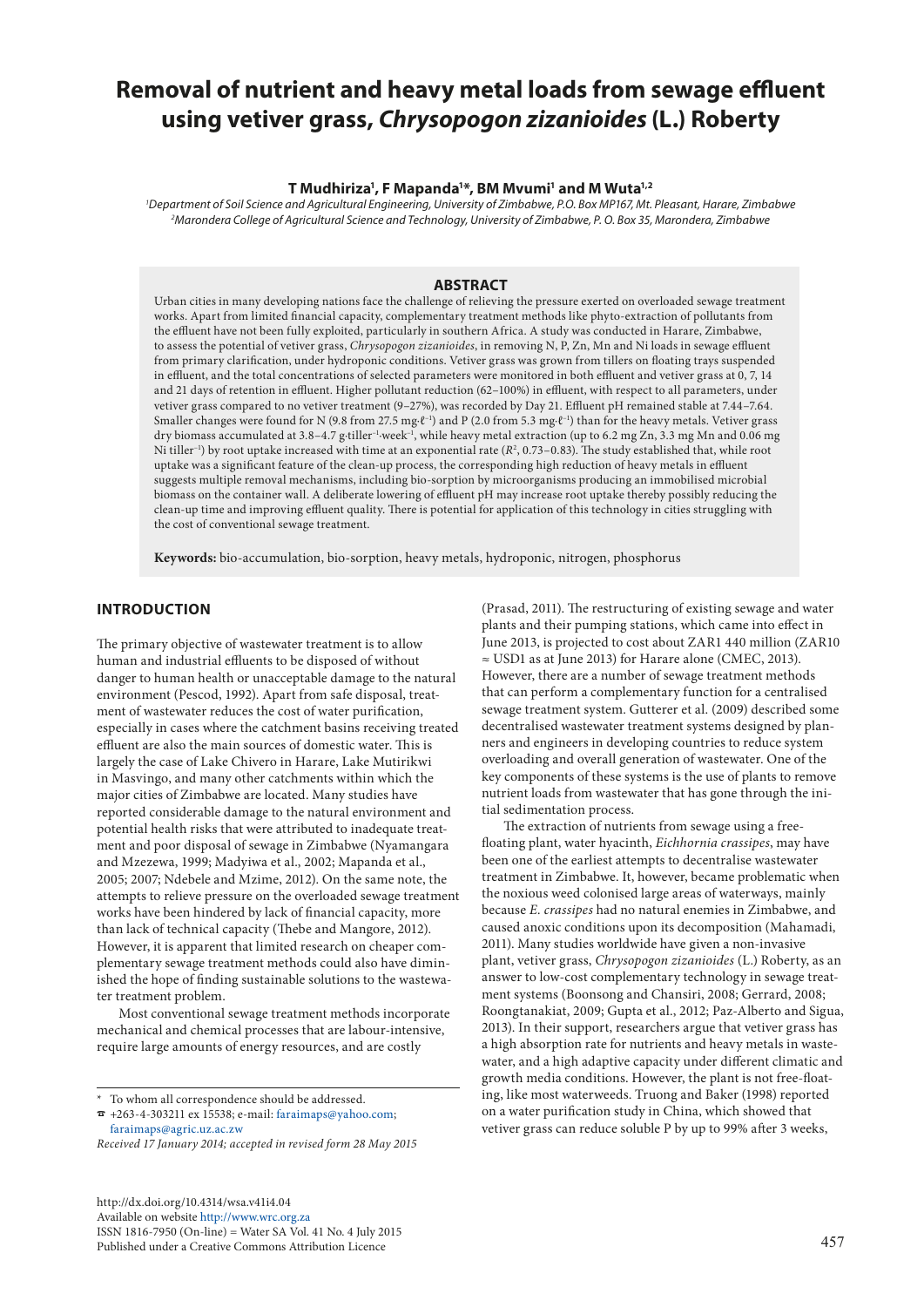# **Removal of nutrient and heavy metal loads from sewage effluent using vetiver grass,** *Chrysopogon zizanioides* **(L.) Roberty**

## **T Mudhiriza1 , F Mapanda1 \*, BM Mvumi1 and M Wuta1,2**

*1 Department of Soil Science and Agricultural Engineering, University of Zimbabwe, P.O. Box MP167, Mt. Pleasant, Harare, Zimbabwe 2 Marondera College of Agricultural Science and Technology, University of Zimbabwe, P. O. Box 35, Marondera, Zimbabwe*

#### **ABSTRACT**

Urban cities in many developing nations face the challenge of relieving the pressure exerted on overloaded sewage treatment works. Apart from limited financial capacity, complementary treatment methods like phyto-extraction of pollutants from the effluent have not been fully exploited, particularly in southern Africa. A study was conducted in Harare, Zimbabwe, to assess the potential of vetiver grass, *Chrysopogon zizanioides*, in removing N, P, Zn, Mn and Ni loads in sewage effluent from primary clarification, under hydroponic conditions. Vetiver grass was grown from tillers on floating trays suspended in effluent, and the total concentrations of selected parameters were monitored in both effluent and vetiver grass at 0, 7, 14 and 21 days of retention in effluent. Higher pollutant reduction (62–100%) in effluent, with respect to all parameters, under vetiver grass compared to no vetiver treatment (9–27%), was recorded by Day 21. Effluent pH remained stable at 7.44–7.64. Smaller changes were found for N (9.8 from 27.5 mg⋅ℓ<sup>-1</sup>) and P (2.0 from 5.3 mg⋅ℓ<sup>-1</sup>) than for the heavy metals. Vetiver grass dry biomass accumulated at 3.8–4.7 g∙tiller–1∙week–1, while heavy metal extraction (up to 6.2 mg Zn, 3.3 mg Mn and 0.06 mg Ni tiller<sup>-1</sup>) by root uptake increased with time at an exponential rate  $(R^2, 0.73-0.83)$ . The study established that, while root uptake was a significant feature of the clean-up process, the corresponding high reduction of heavy metals in effluent suggests multiple removal mechanisms, including bio-sorption by microorganisms producing an immobilised microbial biomass on the container wall. A deliberate lowering of effluent pH may increase root uptake thereby possibly reducing the clean-up time and improving effluent quality. There is potential for application of this technology in cities struggling with the cost of conventional sewage treatment.

**Keywords:** bio-accumulation, bio-sorption, heavy metals, hydroponic, nitrogen, phosphorus

# **INTRODUCTION**

The primary objective of wastewater treatment is to allow human and industrial effluents to be disposed of without danger to human health or unacceptable damage to the natural environment (Pescod, 1992). Apart from safe disposal, treatment of wastewater reduces the cost of water purification, especially in cases where the catchment basins receiving treated effluent are also the main sources of domestic water. This is largely the case of Lake Chivero in Harare, Lake Mutirikwi in Masvingo, and many other catchments within which the major cities of Zimbabwe are located. Many studies have reported considerable damage to the natural environment and potential health risks that were attributed to inadequate treatment and poor disposal of sewage in Zimbabwe (Nyamangara and Mzezewa, 1999; Madyiwa et al., 2002; Mapanda et al., 2005; 2007; Ndebele and Mzime, 2012). On the same note, the attempts to relieve pressure on the overloaded sewage treatment works have been hindered by lack of financial capacity, more than lack of technical capacity (Thebe and Mangore, 2012). However, it is apparent that limited research on cheaper complementary sewage treatment methods could also have diminished the hope of finding sustainable solutions to the wastewater treatment problem.

Most conventional sewage treatment methods incorporate mechanical and chemical processes that are labour-intensive, require large amounts of energy resources, and are costly

[http://dx.doi.org/10.4314/wsa.v41i4.0](http://dx.doi.org/10.4314/wsa.v41i4.04)4 Available on website<http://www.wrc.org.za> ISSN 1816-7950 (On-line) = Water SA Vol. 41 No. 4 July 2015 Published under a Creative Commons Attribution Licence

(Prasad, 2011). The restructuring of existing sewage and water plants and their pumping stations, which came into effect in June 2013, is projected to cost about ZAR1 440 million (ZAR10 ≈ USD1 as at June 2013) for Harare alone (CMEC, 2013). However, there are a number of sewage treatment methods that can perform a complementary function for a centralised sewage treatment system. Gutterer et al. (2009) described some decentralised wastewater treatment systems designed by planners and engineers in developing countries to reduce system overloading and overall generation of wastewater. One of the key components of these systems is the use of plants to remove nutrient loads from wastewater that has gone through the initial sedimentation process.

The extraction of nutrients from sewage using a freefloating plant, water hyacinth, *Eichhornia crassipes*, may have been one of the earliest attempts to decentralise wastewater treatment in Zimbabwe. It, however, became problematic when the noxious weed colonised large areas of waterways, mainly because *E. crassipes* had no natural enemies in Zimbabwe, and caused anoxic conditions upon its decomposition (Mahamadi, 2011). Many studies worldwide have given a non-invasive plant, vetiver grass, *Chrysopogon zizanioides* (L.) Roberty, as an answer to low-cost complementary technology in sewage treatment systems (Boonsong and Chansiri, 2008; Gerrard, 2008; Roongtanakiat, 2009; Gupta et al., 2012; Paz-Alberto and Sigua, 2013). In their support, researchers argue that vetiver grass has a high absorption rate for nutrients and heavy metals in wastewater, and a high adaptive capacity under different climatic and growth media conditions. However, the plant is not free-floating, like most waterweeds. Truong and Baker (1998) reported on a water purification study in China, which showed that vetiver grass can reduce soluble P by up to 99% after 3 weeks,

<sup>\*</sup> To whom all correspondence should be addressed.

<sup>☎</sup> +263-4-303211 ex 15538; e-mail: [faraimaps@yahoo.com;](mailto:faraimaps@yahoo.com) [faraimaps@agric.uz.ac.zw](mailto:faraimaps%40agric.uz.ac.zw?subject=)

*Received 17 January 2014; accepted in revised form 28 May 2015*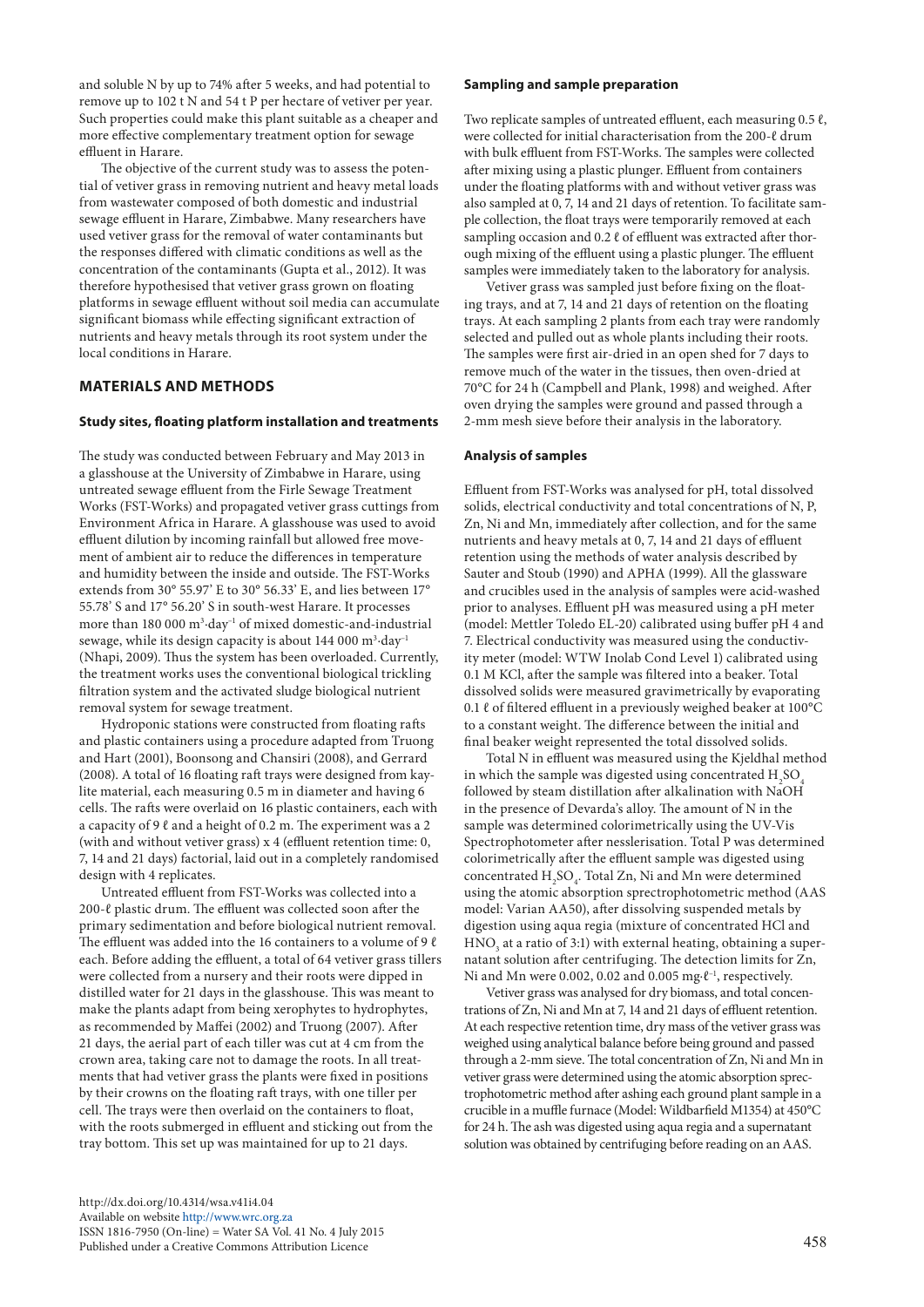and soluble N by up to 74% after 5 weeks, and had potential to remove up to 102 t N and 54 t P per hectare of vetiver per year. Such properties could make this plant suitable as a cheaper and more effective complementary treatment option for sewage effluent in Harare.

The objective of the current study was to assess the potential of vetiver grass in removing nutrient and heavy metal loads from wastewater composed of both domestic and industrial sewage effluent in Harare, Zimbabwe. Many researchers have used vetiver grass for the removal of water contaminants but the responses differed with climatic conditions as well as the concentration of the contaminants (Gupta et al., 2012). It was therefore hypothesised that vetiver grass grown on floating platforms in sewage effluent without soil media can accumulate significant biomass while effecting significant extraction of nutrients and heavy metals through its root system under the local conditions in Harare.

# **MATERIALS AND METHODS**

## **Study sites, floating platform installation and treatments**

The study was conducted between February and May 2013 in a glasshouse at the University of Zimbabwe in Harare, using untreated sewage effluent from the Firle Sewage Treatment Works (FST-Works) and propagated vetiver grass cuttings from Environment Africa in Harare. A glasshouse was used to avoid effluent dilution by incoming rainfall but allowed free movement of ambient air to reduce the differences in temperature and humidity between the inside and outside. The FST-Works extends from 30° 55.97' E to 30° 56.33' E, and lies between 17° 55.78' S and 17° 56.20' S in south-west Harare. It processes more than 180 000 m<sup>3</sup>⋅day<sup>-1</sup> of mixed domestic-and-industrial sewage, while its design capacity is about 144 000 m<sup>3</sup>·day<sup>-1</sup> (Nhapi, 2009). Thus the system has been overloaded. Currently, the treatment works uses the conventional biological trickling filtration system and the activated sludge biological nutrient removal system for sewage treatment.

Hydroponic stations were constructed from floating rafts and plastic containers using a procedure adapted from Truong and Hart (2001), Boonsong and Chansiri (2008), and Gerrard (2008). A total of 16 floating raft trays were designed from kaylite material, each measuring 0.5 m in diameter and having 6 cells. The rafts were overlaid on 16 plastic containers, each with a capacity of 9  $\ell$  and a height of 0.2 m. The experiment was a 2 (with and without vetiver grass) x 4 (effluent retention time: 0, 7, 14 and 21 days) factorial, laid out in a completely randomised design with 4 replicates.

Untreated effluent from FST-Works was collected into a 200-ℓ plastic drum. The effluent was collected soon after the primary sedimentation and before biological nutrient removal. The effluent was added into the 16 containers to a volume of 9  $\ell$ each. Before adding the effluent, a total of 64 vetiver grass tillers were collected from a nursery and their roots were dipped in distilled water for 21 days in the glasshouse. This was meant to make the plants adapt from being xerophytes to hydrophytes, as recommended by Maffei (2002) and Truong (2007). After 21 days, the aerial part of each tiller was cut at 4 cm from the crown area, taking care not to damage the roots. In all treatments that had vetiver grass the plants were fixed in positions by their crowns on the floating raft trays, with one tiller per cell. The trays were then overlaid on the containers to float, with the roots submerged in effluent and sticking out from the tray bottom. This set up was maintained for up to 21 days.

## **Sampling and sample preparation**

Two replicate samples of untreated effluent, each measuring 0.5 ℓ, were collected for initial characterisation from the 200-ℓ drum with bulk effluent from FST-Works. The samples were collected after mixing using a plastic plunger. Effluent from containers under the floating platforms with and without vetiver grass was also sampled at 0, 7, 14 and 21 days of retention. To facilitate sample collection, the float trays were temporarily removed at each sampling occasion and 0.2 ℓ of effluent was extracted after thorough mixing of the effluent using a plastic plunger. The effluent samples were immediately taken to the laboratory for analysis.

Vetiver grass was sampled just before fixing on the floating trays, and at 7, 14 and 21 days of retention on the floating trays. At each sampling 2 plants from each tray were randomly selected and pulled out as whole plants including their roots. The samples were first air-dried in an open shed for 7 days to remove much of the water in the tissues, then oven-dried at 70°C for 24 h (Campbell and Plank, 1998) and weighed. After oven drying the samples were ground and passed through a 2-mm mesh sieve before their analysis in the laboratory.

## **Analysis of samples**

Effluent from FST-Works was analysed for pH, total dissolved solids, electrical conductivity and total concentrations of N, P, Zn, Ni and Mn, immediately after collection, and for the same nutrients and heavy metals at 0, 7, 14 and 21 days of effluent retention using the methods of water analysis described by Sauter and Stoub (1990) and APHA (1999). All the glassware and crucibles used in the analysis of samples were acid-washed prior to analyses. Effluent pH was measured using a pH meter (model: Mettler Toledo EL-20) calibrated using buffer pH 4 and 7. Electrical conductivity was measured using the conductivity meter (model: WTW Inolab Cond Level 1) calibrated using 0.1 M KCl, after the sample was filtered into a beaker. Total dissolved solids were measured gravimetrically by evaporating 0.1 ℓ of filtered effluent in a previously weighed beaker at 100°C to a constant weight. The difference between the initial and final beaker weight represented the total dissolved solids.

Total N in effluent was measured using the Kjeldhal method in which the sample was digested using concentrated  $\rm{H}_{2}\rm{SO}_{4}$ followed by steam distillation after alkalination with NaOH in the presence of Devarda's alloy. The amount of N in the sample was determined colorimetrically using the UV-Vis Spectrophotometer after nesslerisation. Total P was determined colorimetrically after the effluent sample was digested using concentrated  $H_2SO_4$ . Total Zn, Ni and Mn were determined using the atomic absorption sprectrophotometric method (AAS model: Varian AA50), after dissolving suspended metals by digestion using aqua regia (mixture of concentrated HCl and  $\mathrm{HNO}_3$  at a ratio of 3:1) with external heating, obtaining a supernatant solution after centrifuging. The detection limits for Zn, Ni and Mn were 0.002, 0.02 and 0.005 mg⋅ℓ<sup>-1</sup>, respectively.

Vetiver grass was analysed for dry biomass, and total concentrations of Zn, Ni and Mn at 7, 14 and 21 days of effluent retention. At each respective retention time, dry mass of the vetiver grass was weighed using analytical balance before being ground and passed through a 2-mm sieve. The total concentration of Zn, Ni and Mn in vetiver grass were determined using the atomic absorption sprectrophotometric method after ashing each ground plant sample in a crucible in a muffle furnace (Model: Wildbarfield M1354) at 450°C for 24 h. The ash was digested using aqua regia and a supernatant solution was obtained by centrifuging before reading on an AAS.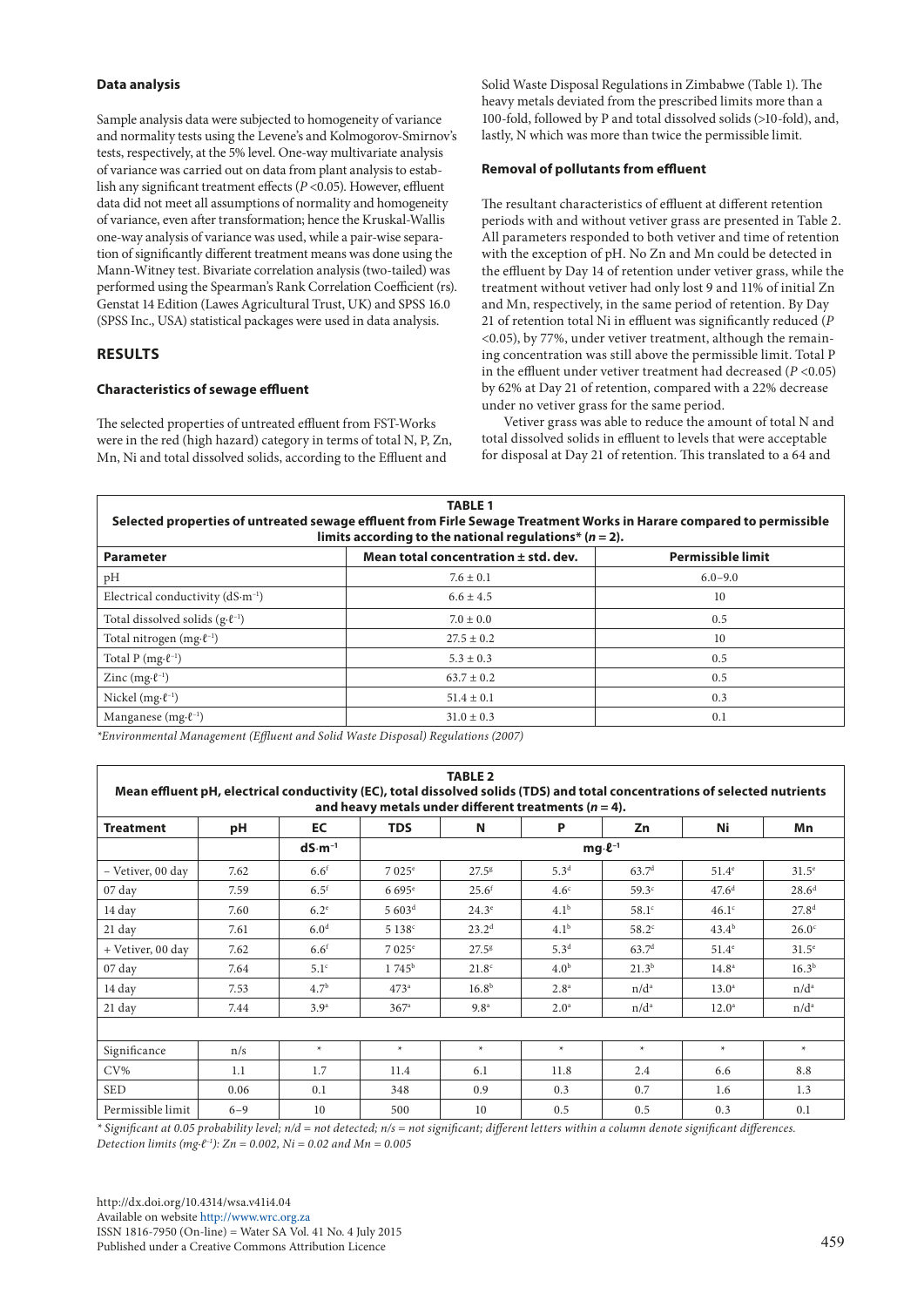# **Data analysis**

Sample analysis data were subjected to homogeneity of variance and normality tests using the Levene's and Kolmogorov-Smirnov's tests, respectively, at the 5% level. One-way multivariate analysis of variance was carried out on data from plant analysis to establish any significant treatment effects (*P* <0.05). However, effluent data did not meet all assumptions of normality and homogeneity of variance, even after transformation; hence the Kruskal-Wallis one-way analysis of variance was used, while a pair-wise separation of significantly different treatment means was done using the Mann-Witney test. Bivariate correlation analysis (two-tailed) was performed using the Spearman's Rank Correlation Coefficient (rs). Genstat 14 Edition (Lawes Agricultural Trust, UK) and SPSS 16.0 (SPSS Inc., USA) statistical packages were used in data analysis.

# **RESULTS**

# **Characteristics of sewage effluent**

The selected properties of untreated effluent from FST-Works were in the red (high hazard) category in terms of total N, P, Zn, Mn, Ni and total dissolved solids, according to the Effluent and

Solid Waste Disposal Regulations in Zimbabwe (Table 1). The heavy metals deviated from the prescribed limits more than a 100-fold, followed by P and total dissolved solids (>10-fold), and, lastly, N which was more than twice the permissible limit.

# **Removal of pollutants from effluent**

The resultant characteristics of effluent at different retention periods with and without vetiver grass are presented in Table 2. All parameters responded to both vetiver and time of retention with the exception of pH. No Zn and Mn could be detected in the effluent by Day 14 of retention under vetiver grass, while the treatment without vetiver had only lost 9 and 11% of initial Zn and Mn, respectively, in the same period of retention. By Day 21 of retention total Ni in effluent was significantly reduced (*P* <0.05), by 77%, under vetiver treatment, although the remaining concentration was still above the permissible limit. Total P in the effluent under vetiver treatment had decreased (*P* <0.05) by 62% at Day 21 of retention, compared with a 22% decrease under no vetiver grass for the same period.

Vetiver grass was able to reduce the amount of total N and total dissolved solids in effluent to levels that were acceptable for disposal at Day 21 of retention. This translated to a 64 and

| <b>TABLE 1</b><br>Selected properties of untreated sewage effluent from Firle Sewage Treatment Works in Harare compared to permissible<br>limits according to the national regulations* $(n = 2)$ . |                                          |                          |  |  |  |  |
|-----------------------------------------------------------------------------------------------------------------------------------------------------------------------------------------------------|------------------------------------------|--------------------------|--|--|--|--|
| <b>Parameter</b>                                                                                                                                                                                    | Mean total concentration $\pm$ std. dev. | <b>Permissible limit</b> |  |  |  |  |
| pH                                                                                                                                                                                                  | $7.6 \pm 0.1$                            | $6.0 - 9.0$              |  |  |  |  |
| Electrical conductivity $(dS·m^{-1})$                                                                                                                                                               | $6.6 \pm 4.5$                            | 10                       |  |  |  |  |
| Total dissolved solids $(g \cdot \ell^{-1})$                                                                                                                                                        | $7.0 \pm 0.0$                            | 0.5                      |  |  |  |  |
| Total nitrogen $(mg \cdot \ell^{-1})$                                                                                                                                                               | $27.5 \pm 0.2$                           | 10                       |  |  |  |  |
| Total P $(mg \cdot \ell^{-1})$                                                                                                                                                                      | $5.3 \pm 0.3$                            | 0.5                      |  |  |  |  |
| Zinc $(mg \cdot \ell^{-1})$                                                                                                                                                                         | $63.7 \pm 0.2$                           | 0.5                      |  |  |  |  |
| Nickel $(mg \cdot \ell^{-1})$                                                                                                                                                                       | $51.4 \pm 0.1$                           | 0.3                      |  |  |  |  |
| Manganese (mg $\cdot \ell^{-1}$ )                                                                                                                                                                   | $31.0 \pm 0.3$                           | 0.1                      |  |  |  |  |

*\*Environmental Management (Effluent and Solid Waste Disposal) Regulations (2007)*

|                                                                                                                                                                                         |         |                  |                      | <b>TABLE 2</b>    |                  |                   |                   |                |  |  |
|-----------------------------------------------------------------------------------------------------------------------------------------------------------------------------------------|---------|------------------|----------------------|-------------------|------------------|-------------------|-------------------|----------------|--|--|
| Mean effluent pH, electrical conductivity (EC), total dissolved solids (TDS) and total concentrations of selected nutrients<br>and heavy metals under different treatments ( $n = 4$ ). |         |                  |                      |                   |                  |                   |                   |                |  |  |
| <b>Treatment</b>                                                                                                                                                                        | рH      | EC               | <b>TDS</b>           | N                 | P                | Zn                | Ni                | Mn             |  |  |
|                                                                                                                                                                                         |         | $dS·m-1$         | $mg \cdot \ell^{-1}$ |                   |                  |                   |                   |                |  |  |
| - Vetiver, 00 day                                                                                                                                                                       | 7.62    | 6.6 <sup>f</sup> | 7 025 <sup>e</sup>   | 27.5 <sup>g</sup> | $5.3^{d}$        | 63.7 <sup>d</sup> | $51.4^e$          | $31.5^{\circ}$ |  |  |
| 07 day                                                                                                                                                                                  | 7.59    | 6.5 <sup>f</sup> | $6695^{\circ}$       | $25.6^{f}$        | 4.6 <sup>c</sup> | 59.3 <sup>c</sup> | 47.6 <sup>d</sup> | $28.6^{\rm d}$ |  |  |
| 14 day                                                                                                                                                                                  | 7.60    | $6.2^\circ$      | 5603 <sup>d</sup>    | $24.3^\circ$      | 4.1 <sup>b</sup> | $58.1^\circ$      | 46.1 <sup>c</sup> | $27.8^{d}$     |  |  |
| 21 day                                                                                                                                                                                  | 7.61    | 6.0 <sup>d</sup> | 5 138 <sup>c</sup>   | 23.2 <sup>d</sup> | 4.1 <sup>b</sup> | $58.2^\circ$      | $43.4^{b}$        | $26.0^\circ$   |  |  |
| + Vetiver, 00 day                                                                                                                                                                       | 7.62    | 6.6 <sup>f</sup> | 7.025e               | 27.5 <sup>g</sup> | 5.3 <sup>d</sup> | 63.7 <sup>d</sup> | $51.4^\circ$      | $31.5^{\circ}$ |  |  |
| $07 \text{ day}$                                                                                                                                                                        | 7.64    | $5.1^\circ$      | $1745^{\rm b}$       | 21.8 <sup>c</sup> | 4.0 <sup>b</sup> | $21.3^{b}$        | $14.8^{\circ}$    | $16.3^{b}$     |  |  |
| 14 day                                                                                                                                                                                  | 7.53    | 4.7 <sup>b</sup> | 473 <sup>a</sup>     | 16.8 <sup>b</sup> | 2.8 <sup>a</sup> | $n/d^a$           | $13.0^{\circ}$    | $n/d^a$        |  |  |
| 21 day                                                                                                                                                                                  | 7.44    | 3.9 <sup>a</sup> | 367 <sup>a</sup>     | 9.8 <sup>a</sup>  | 2.0 <sup>a</sup> | $n/d^a$           | $12.0^{\circ}$    | $n/d^a$        |  |  |
|                                                                                                                                                                                         |         |                  |                      |                   |                  |                   |                   |                |  |  |
| Significance                                                                                                                                                                            | n/s     | $\ast$           | $\ast$               | $\star$           | $\star$          | $\ast$            | $\ast$            | $\star$        |  |  |
| $CV\%$                                                                                                                                                                                  | 1.1     | 1.7              | 11.4                 | 6.1               | 11.8             | 2.4               | 6.6               | 8.8            |  |  |
| <b>SED</b>                                                                                                                                                                              | 0.06    | 0.1              | 348                  | 0.9               | 0.3              | 0.7               | 1.6               | 1.3            |  |  |
| Permissible limit                                                                                                                                                                       | $6 - 9$ | 10               | 500                  | 10                | 0.5              | 0.5               | 0.3               | 0.1            |  |  |

*\* Significant at 0.05 probability level; n/d = not detected; n/s = not significant; different letters within a column denote significant differences. Detection limits (mg∙ℓ–1): Zn = 0.002, Ni = 0.02 and Mn = 0.005*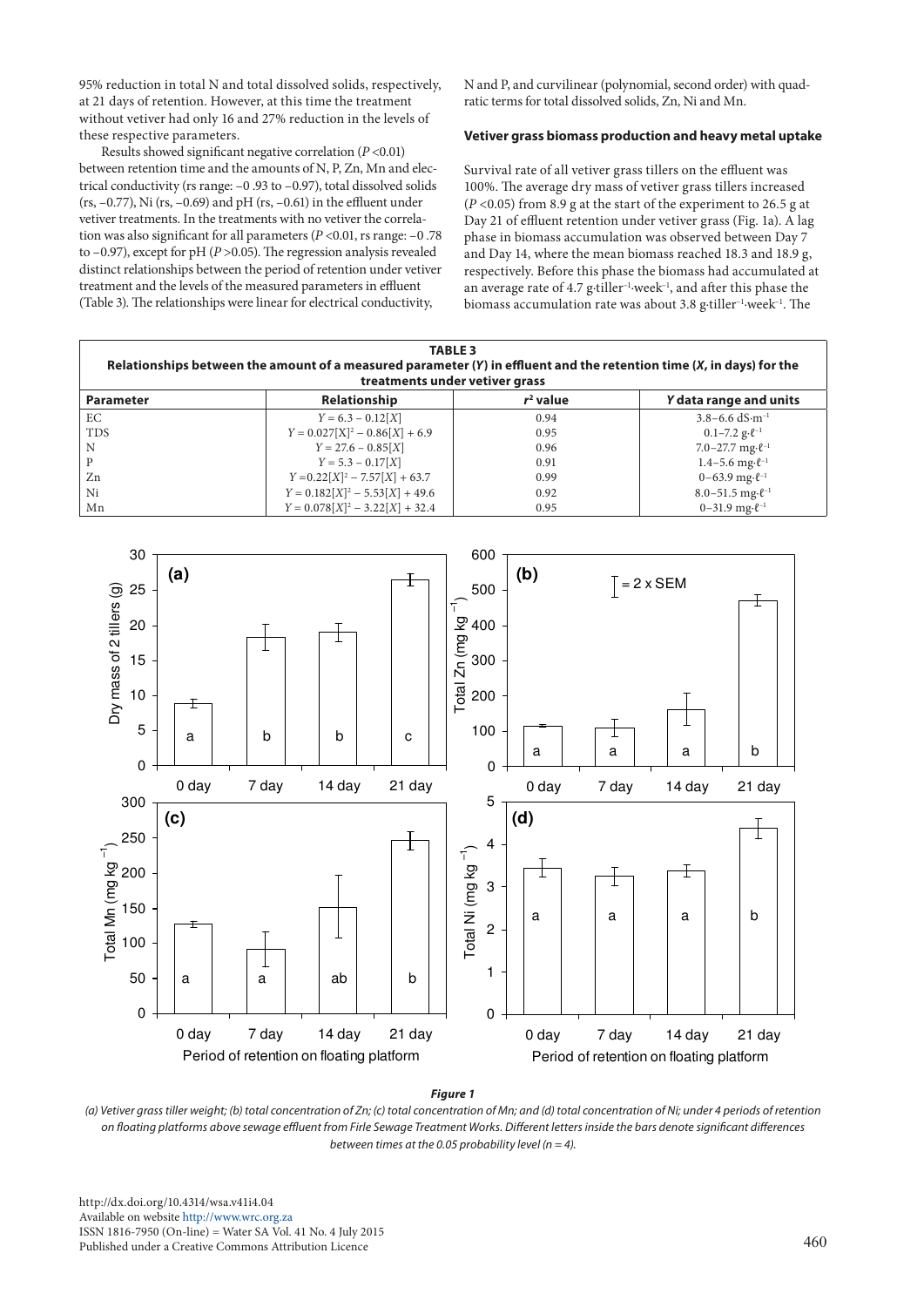95% reduction in total N and total dissolved solids, respectively, at 21 days of retention. However, at this time the treatment without vetiver had only 16 and 27% reduction in the levels of these respective parameters.

Results showed significant negative correlation (*P* <0.01) between retention time and the amounts of N, P, Zn, Mn and electrical conductivity (rs range: –0 .93 to –0.97), total dissolved solids (rs,  $-0.77$ ), Ni (rs,  $-0.69$ ) and pH (rs,  $-0.61$ ) in the effluent under vetiver treatments. In the treatments with no vetiver the correlation was also significant for all parameters (*P* <0.01, rs range: –0 .78 to –0.97), except for pH (*P* >0.05). The regression analysis revealed distinct relationships between the period of retention under vetiver treatment and the levels of the measured parameters in effluent (Table 3). The relationships were linear for electrical conductivity,

N and P, and curvilinear (polynomial, second order) with quadratic terms for total dissolved solids, Zn, Ni and Mn.

# **Vetiver grass biomass production and heavy metal uptake**

Survival rate of all vetiver grass tillers on the effluent was 100%. The average dry mass of vetiver grass tillers increased (*P* <0.05) from 8.9 g at the start of the experiment to 26.5 g at Day 21 of effluent retention under vetiver grass (Fig. 1a). A lag phase in biomass accumulation was observed between Day 7 and Day 14, where the mean biomass reached 18.3 and 18.9 g, respectively. Before this phase the biomass had accumulated at an average rate of 4.7 g∙tiller–1∙week–1, and after this phase the biomass accumulation rate was about 3.8 g∙tiller–1∙week–1. The

| <b>TABLE 3</b><br>Relationships between the amount of a measured parameter $(Y)$ in effluent and the retention time $(X, \text{in days})$ for the<br>treatments under vetiver grass |                                   |             |                                        |  |  |  |  |
|-------------------------------------------------------------------------------------------------------------------------------------------------------------------------------------|-----------------------------------|-------------|----------------------------------------|--|--|--|--|
| <b>Parameter</b>                                                                                                                                                                    | Relationship                      | $r^2$ value | Y data range and units                 |  |  |  |  |
| EC                                                                                                                                                                                  | $Y = 6.3 - 0.12[X]$               | 0.94        | $3.8 - 6.6$ dS $\cdot$ m <sup>-1</sup> |  |  |  |  |
| <b>TDS</b>                                                                                                                                                                          | $Y = 0.027[X]^2 - 0.86[X] + 6.9$  | 0.95        | $0.1 - 7.2$ g· $\ell^{-1}$             |  |  |  |  |
| N                                                                                                                                                                                   | $Y = 27.6 - 0.85[X]$              | 0.96        | 7.0-27.7 mg $\cdot \ell^{-1}$          |  |  |  |  |
| P                                                                                                                                                                                   | $Y = 5.3 - 0.17[X]$               | 0.91        | $1.4 - 5.6$ mg $\cdot \ell^{-1}$       |  |  |  |  |
| Zn                                                                                                                                                                                  | $Y = 0.22[X]^2 - 7.57[X] + 63.7$  | 0.99        | $0-63.9$ mg $\cdot \ell^{-1}$          |  |  |  |  |
| Ni                                                                                                                                                                                  | $Y = 0.182[X]^2 - 5.53[X] + 49.6$ | 0.92        | $8.0 - 51.5$ mg· $\ell^{-1}$           |  |  |  |  |
| Mn                                                                                                                                                                                  | $Y = 0.078[X]^2 - 3.22[X] + 32.4$ | 0.95        | $0-31.9$ mg $\cdot \ell^{-1}$          |  |  |  |  |



*Figure 1* 

on floating platforms above sewage effluent from Firle Sewage Treatment Works. Different letters inside the bars denote significant differences on floating platforms above sewage effluent from Firle Sewage Treatment Works. between times at the 0.05 probability level  $(n = 4)$ . *(a) Vetiver grass tiller weight; (b) total concentration of Zn; (c) total concentration of Mn; and (d) total concentration of Ni; under 4 periods of retention* 

http://dx.doi.org/10.4314/wsa.v41i4.04 Available on website <http://www.wrc.org.za> ISSN 1816-7950 (On-line) = Water SA Vol. 41 No. 4 July 2015 Published under a Creative Commons Attribution Licence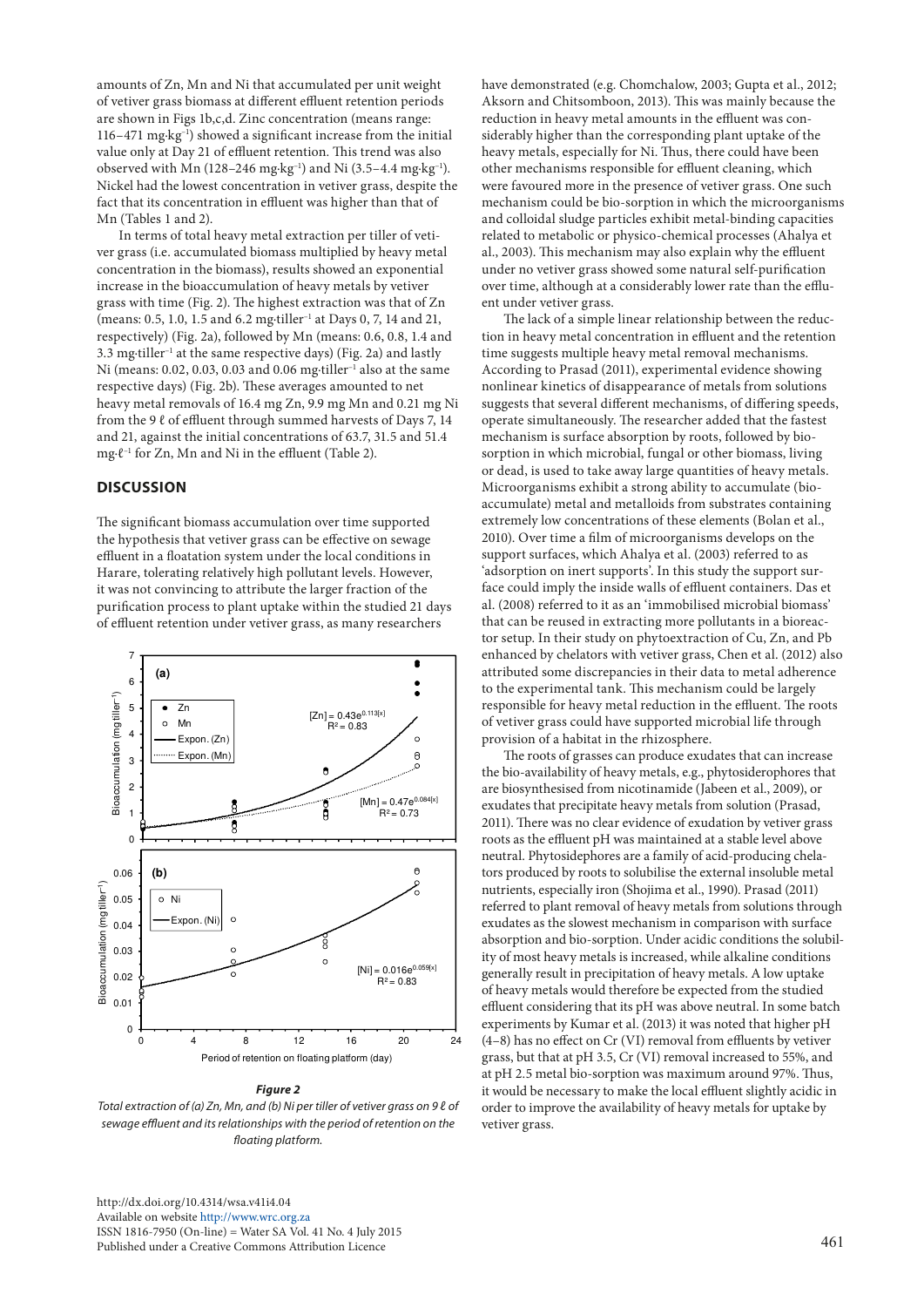amounts of Zn, Mn and Ni that accumulated per unit weight of vetiver grass biomass at different effluent retention periods are shown in Figs 1b,c,d. Zinc concentration (means range: 116–471 mg∙kg–1) showed a significant increase from the initial value only at Day 21 of effluent retention. This trend was also observed with Mn (128–246 mg∙kg–1) and Ni (3.5–4.4 mg∙kg–1). Nickel had the lowest concentration in vetiver grass, despite the fact that its concentration in effluent was higher than that of Mn (Tables 1 and 2).

In terms of total heavy metal extraction per tiller of vetiver grass (i.e. accumulated biomass multiplied by heavy metal concentration in the biomass), results showed an exponential increase in the bioaccumulation of heavy metals by vetiver grass with time (Fig. 2). The highest extraction was that of Zn (means: 0.5, 1.0, 1.5 and 6.2 mg∙tiller–1 at Days 0, 7, 14 and 21, respectively) (Fig. 2a), followed by Mn (means: 0.6, 0.8, 1.4 and 3.3 mg∙tiller–1 at the same respective days) (Fig. 2a) and lastly Ni (means: 0.02, 0.03, 0.03 and 0.06 mg⋅tiller<sup>-1</sup> also at the same respective days) (Fig. 2b). These averages amounted to net heavy metal removals of 16.4 mg Zn, 9.9 mg Mn and 0.21 mg Ni from the 9  $\ell$  of effluent through summed harvests of Days 7, 14 and 21, against the initial concentrations of 63.7, 31.5 and 51.4 mg∙ℓ–1 for Zn, Mn and Ni in the effluent (Table 2).

# **DISCUSSION**

The significant biomass accumulation over time supported the hypothesis that vetiver grass can be effective on sewage effluent in a floatation system under the local conditions in Harare, tolerating relatively high pollutant levels. However, it was not convincing to attribute the larger fraction of the purification process to plant uptake within the studied 21 days of effluent retention under vetiver grass, as many researchers



#### *Figure 2*

Total extraction of (a) Zn, Mn, and (b) Ni per tiller of vetiver grass on 9 ℓ of serve to im sewage effluent and its relationships with the period of retention on the *floating platform.*

[http://dx.doi.org/10.4314/wsa.v41i4.0](http://dx.doi.org/10.4314/wsa.v41i4.04)4 Available on website<http://www.wrc.org.za> ISSN 1816-7950 (On-line) = Water SA Vol. 41 No. 4 July 2015 Published under a Creative Commons Attribution Licence

have demonstrated (e.g. Chomchalow, 2003; Gupta et al., 2012; Aksorn and Chitsomboon, 2013). This was mainly because the reduction in heavy metal amounts in the effluent was considerably higher than the corresponding plant uptake of the heavy metals, especially for Ni. Thus, there could have been other mechanisms responsible for effluent cleaning, which were favoured more in the presence of vetiver grass. One such mechanism could be bio-sorption in which the microorganisms and colloidal sludge particles exhibit metal-binding capacities related to metabolic or physico-chemical processes (Ahalya et al., 2003). This mechanism may also explain why the effluent under no vetiver grass showed some natural self-purification over time, although at a considerably lower rate than the effluent under vetiver grass.

The lack of a simple linear relationship between the reduction in heavy metal concentration in effluent and the retention time suggests multiple heavy metal removal mechanisms. According to Prasad (2011), experimental evidence showing nonlinear kinetics of disappearance of metals from solutions suggests that several different mechanisms, of differing speeds, operate simultaneously. The researcher added that the fastest mechanism is surface absorption by roots, followed by biosorption in which microbial, fungal or other biomass, living or dead, is used to take away large quantities of heavy metals. Microorganisms exhibit a strong ability to accumulate (bioaccumulate) metal and metalloids from substrates containing extremely low concentrations of these elements (Bolan et al., 2010). Over time a film of microorganisms develops on the support surfaces, which Ahalya et al. (2003) referred to as 'adsorption on inert supports'. In this study the support surface could imply the inside walls of effluent containers. Das et al. (2008) referred to it as an 'immobilised microbial biomass' that can be reused in extracting more pollutants in a bioreactor setup. In their study on phytoextraction of Cu, Zn, and Pb enhanced by chelators with vetiver grass, Chen et al. (2012) also attributed some discrepancies in their data to metal adherence to the experimental tank. This mechanism could be largely responsible for heavy metal reduction in the effluent. The roots of vetiver grass could have supported microbial life through provision of a habitat in the rhizosphere.

The roots of grasses can produce exudates that can increase the bio-availability of heavy metals, e.g., phytosiderophores that are biosynthesised from nicotinamide (Jabeen et al., 2009), or exudates that precipitate heavy metals from solution (Prasad, 2011). There was no clear evidence of exudation by vetiver grass roots as the effluent pH was maintained at a stable level above neutral. Phytosidephores are a family of acid-producing chelators produced by roots to solubilise the external insoluble metal nutrients, especially iron (Shojima et al., 1990). Prasad (2011) referred to plant removal of heavy metals from solutions through exudates as the slowest mechanism in comparison with surface absorption and bio-sorption. Under acidic conditions the solubility of most heavy metals is increased, while alkaline conditions generally result in precipitation of heavy metals. A low uptake of heavy metals would therefore be expected from the studied effluent considering that its pH was above neutral. In some batch experiments by Kumar et al. (2013) it was noted that higher pH (4–8) has no effect on Cr (VI) removal from effluents by vetiver grass, but that at pH 3.5, Cr (VI) removal increased to 55%, and at pH 2.5 metal bio-sorption was maximum around 97%. Thus, it would be necessary to make the local effluent slightly acidic in order to improve the availability of heavy metals for uptake by vetiver grass.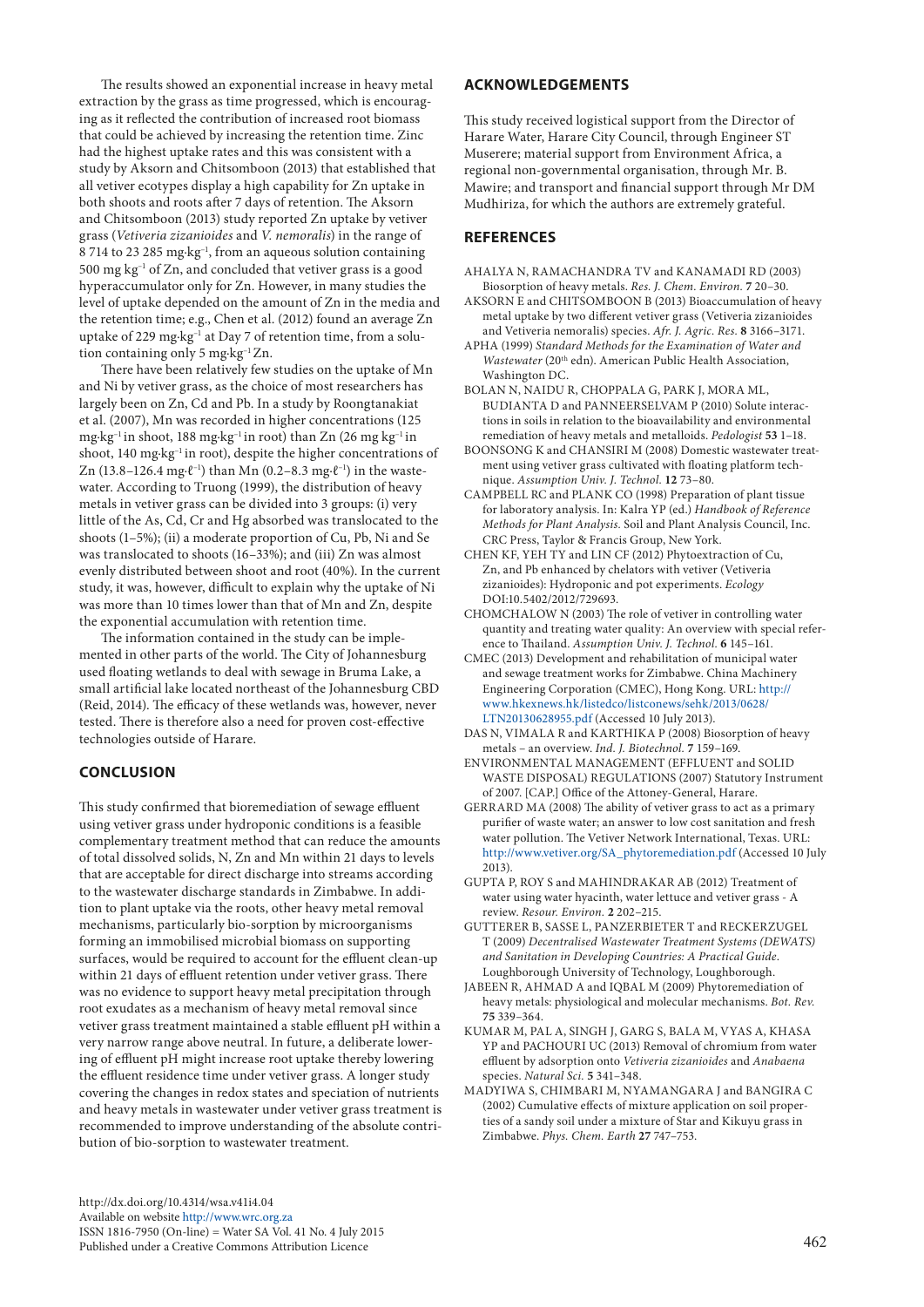The results showed an exponential increase in heavy metal extraction by the grass as time progressed, which is encouraging as it reflected the contribution of increased root biomass that could be achieved by increasing the retention time. Zinc had the highest uptake rates and this was consistent with a study by Aksorn and Chitsomboon (2013) that established that all vetiver ecotypes display a high capability for Zn uptake in both shoots and roots after 7 days of retention. The Aksorn and Chitsomboon (2013) study reported Zn uptake by vetiver grass (*Vetiveria zizanioides* and *V. nemoralis*) in the range of 8 714 to 23 285 mg∙kg–1, from an aqueous solution containing  $500 \text{ mg} \text{ kg}^{-1}$  of Zn, and concluded that vetiver grass is a good hyperaccumulator only for Zn. However, in many studies the level of uptake depended on the amount of Zn in the media and the retention time; e.g., Chen et al. (2012) found an average Zn uptake of 229 mg∙kg–1 at Day 7 of retention time, from a solution containing only 5 mg∙kg–1 Zn.

There have been relatively few studies on the uptake of Mn and Ni by vetiver grass, as the choice of most researchers has largely been on Zn, Cd and Pb. In a study by Roongtanakiat et al. (2007), Mn was recorded in higher concentrations (125 mg∙kg–1 in shoot, 188 mg∙kg–1 in root) than Zn (26 mg kg–1 in shoot, 140 mg⋅kg<sup>-1</sup> in root), despite the higher concentrations of Zn (13.8–126.4 mg⋅ $\ell^{-1}$ ) than Mn (0.2–8.3 mg⋅ $\ell^{-1}$ ) in the wastewater. According to Truong (1999), the distribution of heavy metals in vetiver grass can be divided into 3 groups: (i) very little of the As, Cd, Cr and Hg absorbed was translocated to the shoots (1–5%); (ii) a moderate proportion of Cu, Pb, Ni and Se was translocated to shoots (16–33%); and (iii) Zn was almost evenly distributed between shoot and root (40%). In the current study, it was, however, difficult to explain why the uptake of Ni was more than 10 times lower than that of Mn and Zn, despite the exponential accumulation with retention time.

The information contained in the study can be implemented in other parts of the world. The City of Johannesburg used floating wetlands to deal with sewage in Bruma Lake, a small artificial lake located northeast of the Johannesburg CBD (Reid, 2014). The efficacy of these wetlands was, however, never tested. There is therefore also a need for proven cost-effective technologies outside of Harare.

# **CONCLUSION**

This study confirmed that bioremediation of sewage effluent using vetiver grass under hydroponic conditions is a feasible complementary treatment method that can reduce the amounts of total dissolved solids, N, Zn and Mn within 21 days to levels that are acceptable for direct discharge into streams according to the wastewater discharge standards in Zimbabwe. In addition to plant uptake via the roots, other heavy metal removal mechanisms, particularly bio-sorption by microorganisms forming an immobilised microbial biomass on supporting surfaces, would be required to account for the effluent clean-up within 21 days of effluent retention under vetiver grass. There was no evidence to support heavy metal precipitation through root exudates as a mechanism of heavy metal removal since vetiver grass treatment maintained a stable effluent pH within a very narrow range above neutral. In future, a deliberate lowering of effluent pH might increase root uptake thereby lowering the effluent residence time under vetiver grass. A longer study covering the changes in redox states and speciation of nutrients and heavy metals in wastewater under vetiver grass treatment is recommended to improve understanding of the absolute contribution of bio-sorption to wastewater treatment.

# **ACKNOWLEDGEMENTS**

This study received logistical support from the Director of Harare Water, Harare City Council, through Engineer ST Muserere; material support from Environment Africa, a regional non-governmental organisation, through Mr. B. Mawire; and transport and financial support through Mr DM Mudhiriza, for which the authors are extremely grateful.

## **REFERENCES**

- AHALYA N, RAMACHANDRA TV and KANAMADI RD (2003) Biosorption of heavy metals. *Res. J. Chem. Environ.* **7** 20–30.
- AKSORN E and CHITSOMBOON B (2013) Bioaccumulation of heavy metal uptake by two different vetiver grass (Vetiveria zizanioides and Vetiveria nemoralis) species. *Afr. J. Agric. Res.* **8** 3166–3171.
- APHA (1999) *Standard Methods for the Examination of Water and Wastewater* (20th edn). American Public Health Association, Washington DC.
- BOLAN N, NAIDU R, CHOPPALA G, PARK J, MORA ML, BUDIANTA D and PANNEERSELVAM P (2010) Solute interactions in soils in relation to the bioavailability and environmental remediation of heavy metals and metalloids. *Pedologist* **53** 1–18.
- BOONSONG K and CHANSIRI M (2008) Domestic wastewater treatment using vetiver grass cultivated with floating platform technique. *Assumption Univ. J. Technol.* **12** 73–80.
- CAMPBELL RC and PLANK CO (1998) Preparation of plant tissue for laboratory analysis. In: Kalra YP (ed.) *Handbook of Reference Methods for Plant Analysis.* Soil and Plant Analysis Council, Inc. CRC Press, Taylor & Francis Group, New York.
- CHEN KF, YEH TY and LIN CF (2012) Phytoextraction of Cu, Zn, and Pb enhanced by chelators with vetiver (Vetiveria zizanioides): Hydroponic and pot experiments. *Ecology* DOI:10.5402/2012/729693.
- CHOMCHALOW N (2003) The role of vetiver in controlling water quantity and treating water quality: An overview with special reference to Thailand. *Assumption Univ. J. Technol.* **6** 145–161.
- CMEC (2013) Development and rehabilitation of municipal water and sewage treatment works for Zimbabwe. China Machinery Engineering Corporation (CMEC), Hong Kong. URL: [http://](http://www.hkexnews.hk/listedco/listconews/sehk/2013/0628/LTN20130628955.pdf) [www.hkexnews.hk/listedco/listconews/sehk/2013/0628/](http://www.hkexnews.hk/listedco/listconews/sehk/2013/0628/LTN20130628955.pdf) [LTN20130628955.pdf](http://www.hkexnews.hk/listedco/listconews/sehk/2013/0628/LTN20130628955.pdf) (Accessed 10 July 2013).
- DAS N, VIMALA R and KARTHIKA P (2008) Biosorption of heavy metals – an overview. *Ind. J. Biotechnol.* **7** 159–169.
- ENVIRONMENTAL MANAGEMENT (EFFLUENT and SOLID WASTE DISPOSAL) REGULATIONS (2007) Statutory Instrument of 2007. [CAP.] Office of the Attoney-General, Harare.
- GERRARD MA (2008) The ability of vetiver grass to act as a primary purifier of waste water; an answer to low cost sanitation and fresh water pollution. The Vetiver Network International, Texas. URL: [http://www.vetiver.org/SA\\_phytoremediation.pdf](http://www.vetiver.org/SA_phytoremediation.pdf) (Accessed 10 July 2013).
- GUPTA P, ROY S and MAHINDRAKAR AB (2012) Treatment of water using water hyacinth, water lettuce and vetiver grass - A review. *Resour. Environ.* **2** 202–215.
- GUTTERER B, SASSE L, PANZERBIETER T and RECKERZUGEL T (2009) *Decentralised Wastewater Treatment Systems (DEWATS) and Sanitation in Developing Countries: A Practical Guide*. Loughborough University of Technology, Loughborough.
- JABEEN R, AHMAD A and IQBAL M (2009) Phytoremediation of heavy metals: physiological and molecular mechanisms. *Bot. Rev.* **75** 339–364.
- KUMAR M, PAL A, SINGH J, GARG S, BALA M, VYAS A, KHASA YP and PACHOURI UC (2013) Removal of chromium from water effluent by adsorption onto *Vetiveria zizanioides* and *Anabaena* species. *Natural Sci.* **5** 341–348.
- MADYIWA S, CHIMBARI M, NYAMANGARA J and BANGIRA C (2002) Cumulative effects of mixture application on soil properties of a sandy soil under a mixture of Star and Kikuyu grass in Zimbabwe. *Phys. Chem. Earth* **27** 747–753.